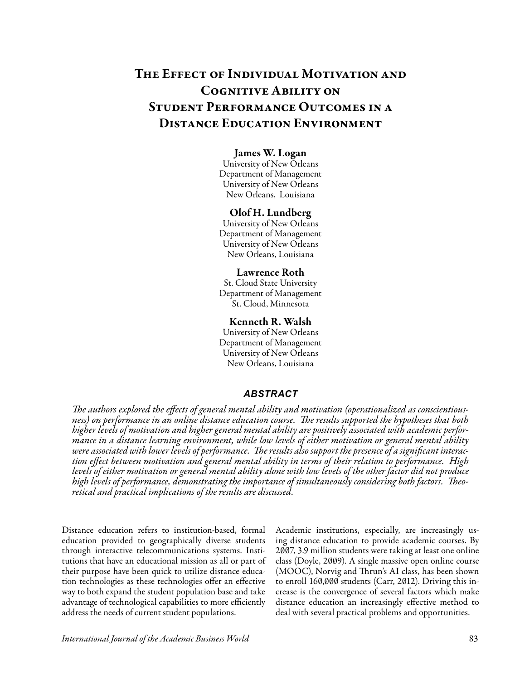# The Effect of Individual Motivation and Cognitive Ability on Student Performance Outcomes in a Distance Education Environment

# James W. Logan

University of New Orleans Department of Management University of New Orleans New Orleans, Louisiana

## Olof H. Lundberg

University of New Orleans Department of Management University of New Orleans New Orleans, Louisiana

#### Lawrence Roth

St. Cloud State University Department of Management St. Cloud, Minnesota

## Kenneth R. Walsh

University of New Orleans Department of Management University of New Orleans New Orleans, Louisiana

## *ABSTRACT*

*The authors explored the effects of general mental ability and motivation (operationalized as conscientiousness) on performance in an online distance education course. The results supported the hypotheses that both higher levels of motivation and higher general mental ability are positively associated with academic performance in a distance learning environment, while low levels of either motivation or general mental ability were associated with lower levels of performance. The results also support the presence of a significant interaction effect between motivation and general mental ability in terms of their relation to performance. High levels of either motivation or general mental ability alone with low levels of the other factor did not produce high levels of performance, demonstrating the importance of simultaneously considering both factors. Theoretical and practical implications of the results are discussed.*

Distance education refers to institution-based, formal education provided to geographically diverse students through interactive telecommunications systems. Institutions that have an educational mission as all or part of their purpose have been quick to utilize distance education technologies as these technologies offer an effective way to both expand the student population base and take advantage of technological capabilities to more efficiently address the needs of current student populations.

Academic institutions, especially, are increasingly using distance education to provide academic courses. By 2007, 3.9 million students were taking at least one online class (Doyle, 2009). A single massive open online course (MOOC), Norvig and Thrun's AI class, has been shown to enroll 160,000 students (Carr, 2012). Driving this increase is the convergence of several factors which make distance education an increasingly effective method to deal with several practical problems and opportunities.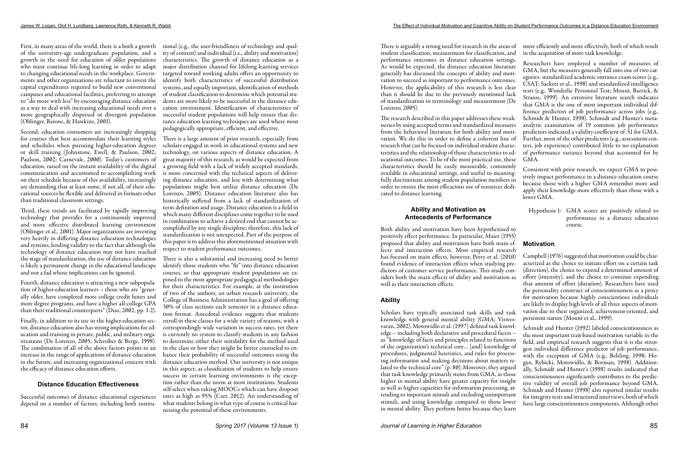First, in many areas of the world, there is a both a growth tional (e.g., the user-friendliness of technology and qualof the university-age undergraduate population, and a growth in the need for education of older populations who must continue life-long learning in order to adapt to changing educational needs in the workplace. Governments and other organizations are reluctant to invest the capital expenditures required to build new conventional campuses and educational facilities, preferring to attempt to "do more with less" by encouraging distance education as a way to deal with increasing educational needs over a more geographically dispersed or divergent population (Oblinger, Barone, & Hawkins, 2001).

Second, education consumers are increasingly shopping for courses that best accommodate their learning styles and schedules when pursuing higher-education degrees or skill training (Johnstone, Ewell, & Paulson, 2002; Paulson, 2002; Carnevale, 2000). Today's customers of education, raised on the instant availability of the digital communication and accustomed to accomplishing work on their schedule because of this availability, increasingly are demanding that at least some, if not all, of their educational sources be flexible and delivered in formats other than traditional classroom settings.

Third, these trends are facilitated by rapidly improving technology that provides for a continuously improved and more effective distributed learning environment (Oblinger et al., 2001). Major organizations are investing very heavily in differing distance education technologies and systems, lending validity to the fact that although the technology of distance education may not have reached the stage of standardization, the use of distance education is likely a permanent change in the educational landscape and not a fad whose implications can be ignored.

Fourth, distance education is attracting a new subpopulation of higher-education learners – those who are "generally older, have completed more college credit hours and more degree programs, and have a higher all-college GPA than their traditional counterparts" (Diaz, 2002, pp. 1-2).

Finally, in addition to its use in the higher-education sector, distance education also has strong implications for education and training in private, public, and military organizations (De Lorenzo, 2005; Schreiber & Berge, 1998). The combination of all of the above factors points to an increase in the range of applications of distance education in the future, and increasing organizational concern with the efficacy of distance education efforts.

# **Distance Education Effectiveness**

Successful outcomes of distance educational experiences depend on a number of factors, including both institu-

ity of content) and individual (i.e., ability and motivation) characteristics. The growth of distance education as a major distribution channel for lifelong learning services targeted toward working adults offers an opportunity to identify both characteristics of successful distribution systems, and equally important, identification of methods of student classification to determine which potential students are more likely to be successful in the distance education environment. Identification of characteristics of successful student populations will help ensure that distance education learning techniques are used where most pedagogically appropriate, efficient, and effective.

There is a large amount of prior research, especially from scholars engaged in work in educational systems and new technology, on various aspects of distance education. A great majority of this research, as would be expected from a growing field with a lack of widely accepted standards, is more concerned with the technical aspects of delivering distance education, and less with determining what populations might best utilize distance education (De Lorenzo, 2005). Distance education literature also has historically suffered from a lack of standardization of term definition and usage. Distance education is a field in which many different disciplines come together to be used in combination to achieve a desired end that cannot be accomplished by any single discipline; therefore, this lack of standardization is not unexpected. Part of the purpose of this paper is to address this aforementioned situation with respect to student performance outcomes.

There is also a substantial and increasing need to better identify those students who "fit" into distance education courses, so that appropriate student populations are exposed to the most appropriate pedagogical methodologies for their characteristics. For example, at the institution of two of the authors, an urban research university, the College of Business Administration has a goal of offering 30% of class sections each semester in a distance education format. Anecdotal evidence suggests that students enroll in these classes for a wide variety of reasons, with a correspondingly wide variation in success rates, yet there is currently no system to classify students in any fashion to determine either their suitability for the method used in the class or how they might be better counseled to enhance their probability of successful outcomes using the distance education method. Our university is not unique in this aspect, as classification of students to help ensure success in certain learning environments is the exception rather than the norm at most institutions. Students self-select when taking MOOCs which can have dropout rates as high as 95% (Carr, 2012). An understanding of what students belong in what type of course is critical harnessing the potential of these environments.

## **Ability and Motivation as Antecedents of Performance**

Both ability and motivation have been hypothesized to positively effect performance. In particular, Maier (1955) proposed that ability and motivation have both main effects and interaction effects. Most empirical research has focused on main effects, however, Perry et al. (2010) found evidence of interaction effects when studying predictors of customer service performance. This study considers both the main effects of ability and motivation as well as their interaction effects.

# **Ability**

There is arguably a strong need for research in the areas of more efficiently and more effectively, both of which result student classification, measurement for classification, and performance outcomes in distance education settings. As would be expected, the distance education literature generally has discussed the concepts of ability and motivation to succeed as important to performance outcomes. However, the applicability of this research is less clear than it should be due to the previously mentioned lack of standardization in terminology and measurement (De Lorenzo, 2005). The research described in this paper addresses these weaknesses by using accepted terms and standardized measures from the behavioral literature for both ability and motivation. We do this in order to define a coherent line of research that can be focused on individual student characteristics and the relationship of those characteristics to educational outcomes. To be of the most practical use, these in the acquisition of more task knowledge. Researchers have employed a number of measures of GMA, but the measures generally fall into one of two categories: standardized academic entrance exam scores (e.g., CSAT; Sackett et al., 1998) and standardized intelligence tests (e.g., Wonderlic Personnel Test; Mount, Barrick, & Strauss, 1999). An extensive literature search indicates that GMA is the one of most important individual difference predictors of job performance across jobs (e.g., Schmidt & Hunter, 1998). Schmidt and Hunter's metaanalytic examination of 19 common job performance predictors indicated a validity coefficient of .51 for GMA. Further, most of the other predictors (e.g., assessment centers, job experience) contributed little to no explanation of performance variance beyond that accounted for by GMA.

characteristics should be easily measurable, commonly available in educational settings, and useful to meaningfully discriminate among student population members in order to ensure the most efficacious use of resources dedicated to distance learning. Consistent with prior research, we expect GMA to positively impact performance in a distance education course because those with a higher GMA remember more and apply their knowledge more effectively than those with a lower GMA.

Scholars have typically associated task skills and task knowledge with general mental ability (GMA; Viswesvaran, 2002). Motowidlo et al. (1997) defined task knowledge – including both declarative and procedural facets – as "knowledge of facts and principles related to functions of the organization's technical core… [and] knowledge of procedures, judgmental heuristics, and rules for processing information and making decisions about matters related to the technical core" (p. 80). Moreover, they argued that task knowledge primarily stems from GMA, as those higher in mental ability have greater capacity for insight as well as higher capacities for information processing, attending to important stimuli and excluding unimportant stimuli, and using knowledge compared to those lower in mental ability. They perform better because they learn persistent nature (Mount et al., 1999). Schmidt and Hunter (1992) labeled conscientiousness as the most important trait-based motivation variable in the field, and empirical research suggests that it is the strongest individual difference predictor of job performance, with the exception of GMA (e.g., Behling, 1998; Hogan, Rybicki, Motowidlo, & Borman, 1998). Additionally, Schmidt and Hunter's (1998) results indicated that conscientiousness significantly contributes to the predictive validity of overall job performance beyond GMA. Schmidt and Hunter (1998) also reported similar results for integrity tests and structured interviews, both of which have large conscientiousness components. Although other

Hypothesis 1: GMA scores are positively related to performance in a distance education course.

# **Motivation**

Campbell (1976) suggested that motivation could be characterized as the choice to initiate effort on a certain task (direction), the choice to expend a determined amount of effort (intensity), and the choice to continue expending that amount of effort (duration). Researchers have used the personality construct of conscientiousness as a proxy for motivation because highly conscientious individuals are likely to display high levels of all three aspects of motivation due to their organized, achievement-oriented, and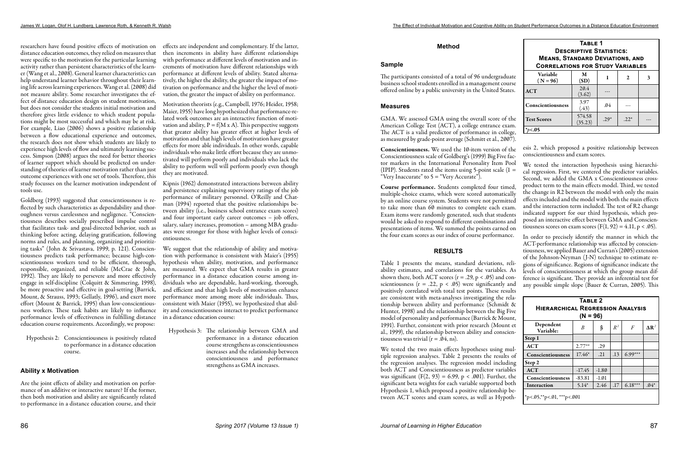researchers have found positive effects of motivation on effects are independent and complementary. If the latter, distance education outcomes, they relied on measures that were specific to the motivation for the particular learning activity rather than persistent characteristics of the learner (Wang et al., 2008). General learner characteristics can help understand learner behavior throughout their learning life across learning experiences. Wang et al. (2008) did not measure ability. Some researcher investigates the effect of distance education design on student motivation, but does not consider the students initial motivation and therefore gives little evidence to which student populations might be most successful and which may be at risk. For example, Liao (2006) shows a positive relationship between a flow educational experience and outcomes, the research does not show which students are likely to experience high levels of flow and ultimately learning success. Simpson (2008) argues the need for better theories of learner support which should be predicted on understanding of theories of learner motivation rather than just outcome experiences with one set of tools. Therefore, this study focusses on the learner motivation independent of tools use.

Goldberg (1993) suggested that conscientiousness is reflected by such characteristics as dependability and thoroughness versus carelessness and negligence. "Conscientiousness describes socially prescribed impulse control that facilitates task- and goal-directed behavior, such as thinking before acting, delaying gratification, following norms and rules, and planning, organizing and prioritizing tasks" (John & Srivastava, 1999, p. 121). Conscientiousness predicts task performance; because high-conscientiousness workers tend to be efficient, thorough, responsible, organized, and reliable (McCrae & John, 1992). They are likely to persevere and more effectively engage in self-discipline (Colquitt & Simmering, 1998), be more proactive and effective in goal-setting (Barrick, Mount, & Strauss, 1993; Gellatly, 1996), and exert more effort (Mount & Barrick, 1995) than low-conscientiousness workers. These task habits are likely to influence performance levels of effectiveness in fulfilling distance education course requirements. Accordingly, we propose:

Hypothesis 2: Conscientiousness is positively related to performance in a distance education course.

## **Ability x Motivation**

Are the joint effects of ability and motivation on performance of an additive or interactive nature? If the former, then both motivation and ability are significantly related to performance in a distance education course, and their presentations of items. We summed the points earned on the four exam scores as our index of course performance. tiousness scores on exam scores  $(F(1, 92) = 4.11, p < .05)$ .

then increments in ability have different relationships with performance at different levels of motivation and increments of motivation have different relationships with performance at different levels of ability. Stated alternatively, the higher the ability, the greater the impact of motivation on performance and the higher the level of motivation, the greater the impact of ability on performance.

> Table 1 presents the means, standard deviations, reliability estimates, and correlations for the variables. As shown there, both ACT scores  $(r = .29, p < .05)$  and conscientiousness ( $r = .22$ ,  $p < .05$ ) were significantly and positively correlated with total test points. These results are consistent with meta-analyses investigating the relationship between ability and performance (Schmidt & Hunter, 1998) and the relationship between the Big Five model of personality and performance (Barrick & Mount, 1991). Further, consistent with prior research (Mount et al., 1999), the relationship between ability and conscientiousness was trivial ( $r = .04$ , ns).

Motivation theorists (e.g., Campbell, 1976; Heider, 1958; Maier, 1955) have long hypothesized that performance-related work outcomes are an interactive function of motivation and ability,  $P = f(M \times A)$ . This perspective suggests that greater ability has greater effect at higher levels of motivation and that high levels of motivation have greater effects for more able individuals. In other words, capable individuals who make little effort because they are unmotivated will perform poorly and individuals who lack the ability to perform well will perform poorly even though they are motivated.

Kipnis (1962) demonstrated interactions between ability and persistence explaining supervisory ratings of the job performance of military personnel. O'Reilly and Chatman (1994) reported that the positive relationships between ability (i.e., business school entrance exam scores) and four important early career outcomes – job offers, salary, salary increases, promotion – among MBA graduates were stronger for those with higher levels of conscientiousness.

We suggest that the relationship of ability and motivation with performance is consistent with Maier's (1955) hypothesis when ability, motivation, and performance are measured. We expect that GMA results in greater performance in a distance education course among individuals who are dependable, hard-working, thorough, and efficient and that high levels of motivation enhance performance more among more able individuals. Thus, consistent with Maier (1955), we hypothesized that ability and conscientiousness interact to predict performance in a distance education course:

Hypothesis 3: The relationship between GMA and performance in a distance education course strengthens as conscientiousness increases and the relationship between conscientiousness and performance strengthens as GMA increases.

## **Method**

#### **Sample**

The participants consisted of a total of 96 undergraduate business school students enrolled in a management course offered online by a public university in the United States.

#### **Measures**

GMA. We assessed GMA using the overall score of the American College Test (ACT), a college entrance exam. The ACT is a valid predictor of performance in college, as measured by grade-point average (Schmitt et al., 2007).

## **RESULTS**

Conscientiousness. We used the 10-item version of the Conscientiousness scale of Goldberg's (1999) Big Five factor markers in the International Personality Item Pool (IPIP). Students rated the items using 5-point scale  $(1 =$ "Very Inaccurate" to  $5 =$  "Very Accurate"). Course performance. Students completed four timed, multiple-choice exams, which were scored automatically by an online course system. Students were not permitted to take more than 60 minutes to complete each exam. Exam items were randomly generated, such that students would be asked to respond to different combinations and esis 2, which proposed a positive relationship between conscientiousness and exam scores. We tested the interaction hypothesis using hierarchical regression. First, we centered the predictor variables. Second, we added the GMA x Conscientiousness crossproduct term to the main effects model. Third, we tested the change in R2 between the model with only the main effects included and the model with both the main effects and the interaction term included. The test of R2 change indicated support for our third hypothesis, which proposed an interactive effect between GMA and Conscien-

We tested the two main effects hypotheses using multiple regression analyses. Table 2 presents the results of the regression analyses. The regression model including both ACT and Conscientiousness as predictor variables was significant  $(F(2, 93) = 6.99, p < .001)$ . Further, the significant beta weights for each variable supported both Hypothesis 1, which proposed a positive relationship between ACT scores and exam scores, as well as Hypoth-

In order to precisely identify the manner in which the ACT-performance relationship was affected by conscientiousness, we applied Bauer and Curran's (2005) extension of the Johnson-Neyman (J-N) technique to estimate regions of significance. Regions of significance indicate the levels of conscientiousness at which the group mean difference is significant. They provide an inferential test for any possible simple slope (Bauer & Curran, 2005). This

| TABLE 1<br><b>DESCRIPTIVE STATISTICS:</b><br><b>MEANS, STANDARD DEVIATIONS, AND</b><br><b>CORRELATIONS FOR STUDY VARIABLES</b> |                   |        |        |   |  |  |  |
|--------------------------------------------------------------------------------------------------------------------------------|-------------------|--------|--------|---|--|--|--|
| Variable<br>$(N = 96)$                                                                                                         | M<br>(SD)         | 1      | 2      | 3 |  |  |  |
| ACT                                                                                                                            | 20.4<br>(3.62)    |        |        |   |  |  |  |
| Conscientiousness                                                                                                              | 3.97<br>(.43)     | .04    |        |   |  |  |  |
| <b>Test Scores</b>                                                                                                             | 574.58<br>(35.23) | $.29*$ | $.22*$ |   |  |  |  |
| <.05                                                                                                                           |                   |        |        |   |  |  |  |

| TABLE 2<br><b>HIERARCHICAL REGRESSION ANALYSIS</b><br>$(N = 96)$ |                  |         |       |                |                 |  |  |
|------------------------------------------------------------------|------------------|---------|-------|----------------|-----------------|--|--|
| Dependent<br>Variable:                                           | $\boldsymbol{B}$ | β       | $R^2$ | $\overline{F}$ | $\mathbf{AR}^2$ |  |  |
| Step 1                                                           |                  |         |       |                |                 |  |  |
| <b>ACT</b>                                                       | $2.77***$        | .29     |       |                |                 |  |  |
| Conscientiousness                                                | $17.46*$         | .21     | .13   | $6.99***$      |                 |  |  |
| Step 2                                                           |                  |         |       |                |                 |  |  |
| <b>ACT</b>                                                       | $-17.45$         | $-1.80$ |       |                |                 |  |  |
| Conscientiousness                                                | $-83.81$         | $-1.01$ |       |                |                 |  |  |
| Interaction                                                      | $5.14*$          | 2.46    | .17   | $6.18***$      | $.04*$          |  |  |
| *p<. $05$ ,**p<. $01$ ,***p<. $001$                              |                  |         |       |                |                 |  |  |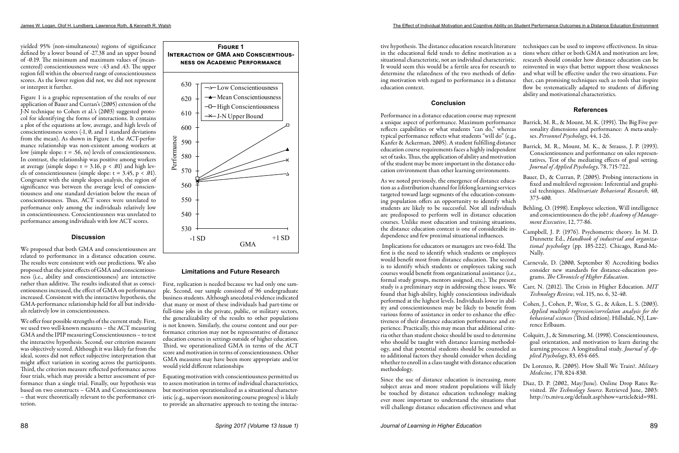yielded 95% (non-simultaneous) regions of significance defined by a lower bound of -27.38 and an upper bound of -0.19. The minimum and maximum values of (meancentered) conscientiousness were -.43 and .43. The upper region fell within the observed range of conscientiousness scores. As the lower region did not, we did not represent or interpret it further.

Figure 1 is a graphic representation of the results of our application of Bauer and Curran's (2005) extension of the J-N technique to Cohen et al.'s (2003) suggested protocol for identifying the forms of interactions. It contains a plot of the equations at low, average, and high levels of conscientiousness scores (-1, 0, and 1 standard deviations from the mean). As shown in Figure 1, the ACT-performance relationship was non-existent among workers at low (simple slope:  $t = .56$ , ns) levels of conscientiousness. In contrast, the relationship was positive among workers at average (simple slope:  $t = 3.16$ ,  $p < .01$ ) and high levels of conscientiousness (simple slope:  $t = 3.45$ ,  $p < .01$ ). Congruent with the simple slopes analysis, the region of significance was between the average level of conscientiousness and one standard deviation below the mean of conscientiousness. Thus, ACT scores were unrelated to performance only among the individuals relatively low in conscientiousness. Conscientiousness was unrelated to performance among individuals with low ACT scores.

## **Discussion**

We proposed that both GMA and conscientiousness are related to performance in a distance education course. The results were consistent with our predictions. We also proposed that the joint effects of GMA and conscientiousness (i.e., ability and conscientiousness) are interactive rather than additive. The results indicated that as conscientiousness increased, the effect of GMA on performance increased. Consistent with the interactive hypothesis, the GMA-performance relationship held for all but individuals relatively low in conscientiousness.

We offer four possible strengths of the current study. First, we used two well-known measures – the ACT measuring GMA and the IPIP measuring Conscientiousness – to test the interactive hypothesis. Second, our criterion measure was objectively scored. Although it was likely far from the ideal, scores did not reflect subjective interpretation that might affect variation in scoring across the participants. Third, the criterion measure reflected performance across four trials, which may provide a better assessment of performance than a single trial. Finally, our hypothesis was based on two constructs – GMA and Conscientiousness – that were theoretically relevant to the performance criterion.

## **Limitations and Future Research**

First, replication is needed because we had only one sample. Second, our sample consisted of 96 undergraduate business students. Although anecdotal evidence indicated that many or most of these individuals had part-time or full-time jobs in the private, public, or military sectors, the generalizability of the results to other populations is not known. Similarly, the course content and our performance criterion may not be representative of distance education courses in settings outside of higher education. Third, we operationalized GMA in terms of the ACT score and motivation in terms of conscientiousness. Other GMA measures may have been more appropriate and/or would yield different relationships

Equating motivation with conscientiousness permitted us to assess motivation in terms of individual characteristics, but motivation operationalized as a situational characteristic (e.g., supervisors monitoring course progress) is likely to provide an alternative approach to testing the interacin the educational field tends to define motivation as a situational characteristic, not an individual characteristic. It would seem this would be a fertile area for research to determine the relatedness of the two methods of defining motivation with regard to performance in a distance education context.

## **Conclusion**

Performance in a distance education course may represent a unique aspect of performance. Maximum performance reflects capabilities or what students "can do," whereas typical performance reflects what students "will do" (e.g., Kanfer & Ackerman, 2005). A student fulfilling distance education course requirements faces a highly independent set of tasks. Thus, the application of ability and motivation of the student may be more important in the distance education environment than other learning environments.

As we noted previously, the emergence of distance education as a distribution channel for lifelong learning services targeted toward large segments of the education-consuming population offers an opportunity to identify which students are likely to be successful. Not all individuals are predisposed to perform well in distance education courses. Unlike most education and training situations, the distance education context is one of considerable independence and few proximal situational influences.

- tive hypothesis. The distance education research literature techniques can be used to improve effectiveness. In situa
	- tions where either or both GMA and motivation are low,
	- research should consider how distance education can be
	- reinvented in ways that better support those weaknesses and what will be effective under the two situations. Fur-
	- ther, can promising techniques such as tools that inspire flow be systematically adapted to students of differing ability and motivational characteristics.

 Implications for educators or managers are two-fold. The first is the need to identify which students or employees would benefit most from distance education. The second is to identify which students or employees taking such courses would benefit from organizational assistance (i.e., formal study groups, mentors assigned, etc.). The present study is a preliminary step in addressing these issues. We found that high-ability, highly conscientious individuals performed at the highest levels. Individuals lower in ability and conscientiousness may be likely to benefit from various forms of assistance in order to enhance the effectiveness of their distance education performance and experience. Practically, this may mean that additional criteria other than student choice should be used to determine who should be taught with distance learning methodology, and that potential students should be counseled as to additional factors they should consider when deciding whether to enroll in a class taught with distance education methodology.

Since the use of distance education is increasing, more subject areas and more student populations will likely be touched by distance education technology making ever more important to understand the situations that will challenge distance education effectiveness and what

## **References**

- Barrick, M. R., & Mount, M. K. (1991). The Big Five personality dimensions and performance: A meta-analyses. *Personnel Psychology*, 44, 1-26.
- Barrick, M. R., Mount, M. K., & Strauss, J. P. (1993). Conscientiousness and performance on sales representatives, Test of the mediating effects of goal setting. *Journal of Applied Psychology*, 78, 715-722.
- Bauer, D., & Curran, P. (2005). Probing interactions in fixed and multilevel regression: Inferential and graphical techniques. *Multivariate Behavioral Research*, 40, 373-400.
- Behling, O. (1998). Employee selection, Will intelligence and conscientiousness do the job? *Academy of Management Executive*, 12, 77-86.
- Campbell, J. P. (1976). Psychometric theory. In M. D. Dunnette Ed., *Handbook of industrial and organizational psychology* (pp. 185-222). Chicago, Rand-Mc-Nally.
- Carnevale, D. (2000, September 8) Accrediting bodies consider new standards for distance-education programs. *The Chronicle of Higher Education*.
- Carr, N. (2012). The Crisis in Higher Education. *MIT Technology Review,* vol. 115, no. 6, 32-40.
- Cohen, J., Cohen, P., West, S. G., & Aiken, L. S. (2003). *Applied multiple regression/correlation analysis for the behavioral sciences* (Third edition). Hillsdale, NJ, Lawrence Erlbaum.
- Colquitt, J., & Simmering, M. (1998). Conscientiousness, goal orientation, and motivation to learn during the learning process: A longitudinal study. *Journal of Applied Psychology*, 83, 654-665.
- De Lorenzo, R. (2005). How Shall We Train?. *Military Medicine*, 170, 824-830.
- Diaz, D. P. (2002, May/June). Online Drop Rates Revisited. *The Technology Source*. Retrieved June, 2003: [http://ts.mivu.org/default.asp?show=article&id=981.](http://ts.mivu.org/default.asp?show=article&id=981)